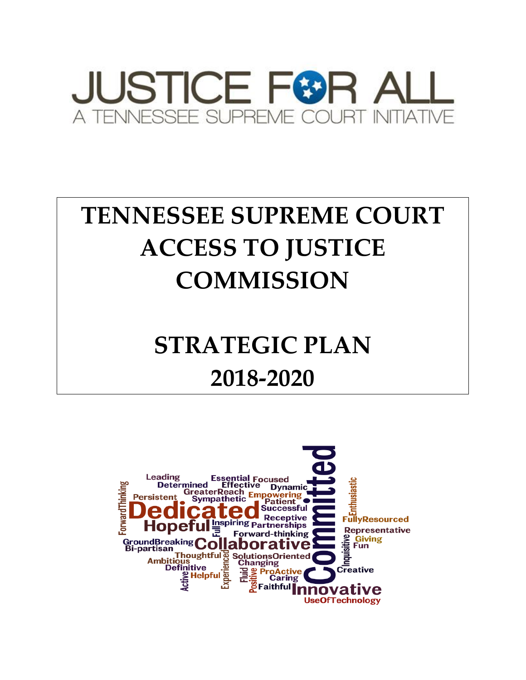

# **TENNESSEE SUPREME COURT ACCESS TO JUSTICE COMMISSION**

# **STRATEGIC PLAN 2018-2020**

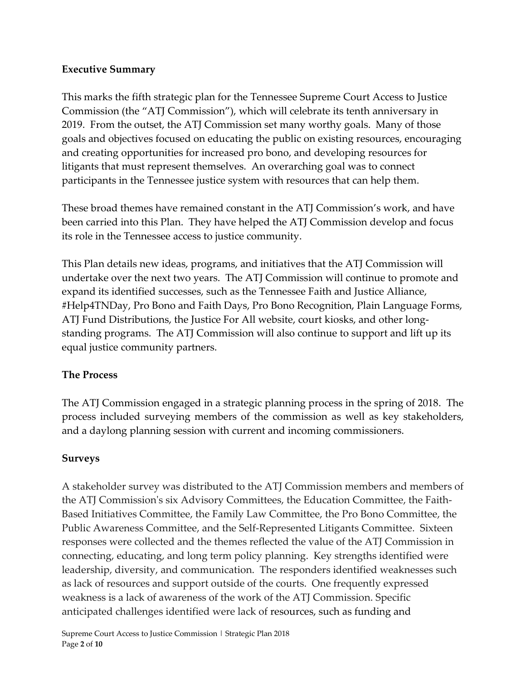## **Executive Summary**

This marks the fifth strategic plan for the Tennessee Supreme Court Access to Justice Commission (the "ATJ Commission"), which will celebrate its tenth anniversary in 2019. From the outset, the ATJ Commission set many worthy goals. Many of those goals and objectives focused on educating the public on existing resources, encouraging and creating opportunities for increased pro bono, and developing resources for litigants that must represent themselves. An overarching goal was to connect participants in the Tennessee justice system with resources that can help them.

These broad themes have remained constant in the ATJ Commission's work, and have been carried into this Plan. They have helped the ATJ Commission develop and focus its role in the Tennessee access to justice community.

This Plan details new ideas, programs, and initiatives that the ATJ Commission will undertake over the next two years. The ATJ Commission will continue to promote and expand its identified successes, such as the Tennessee Faith and Justice Alliance, #Help4TNDay, Pro Bono and Faith Days, Pro Bono Recognition, Plain Language Forms, ATJ Fund Distributions, the Justice For All website, court kiosks, and other longstanding programs. The ATJ Commission will also continue to support and lift up its equal justice community partners.

### **The Process**

The ATJ Commission engaged in a strategic planning process in the spring of 2018. The process included surveying members of the commission as well as key stakeholders, and a daylong planning session with current and incoming commissioners.

# **Surveys**

A stakeholder survey was distributed to the ATJ Commission members and members of the ATJ Commission's six Advisory Committees, the Education Committee, the Faith-Based Initiatives Committee, the Family Law Committee, the Pro Bono Committee, the Public Awareness Committee, and the Self-Represented Litigants Committee. Sixteen responses were collected and the themes reflected the value of the ATJ Commission in connecting, educating, and long term policy planning. Key strengths identified were leadership, diversity, and communication. The responders identified weaknesses such as lack of resources and support outside of the courts. One frequently expressed weakness is a lack of awareness of the work of the ATJ Commission. Specific anticipated challenges identified were lack of resources, such as funding and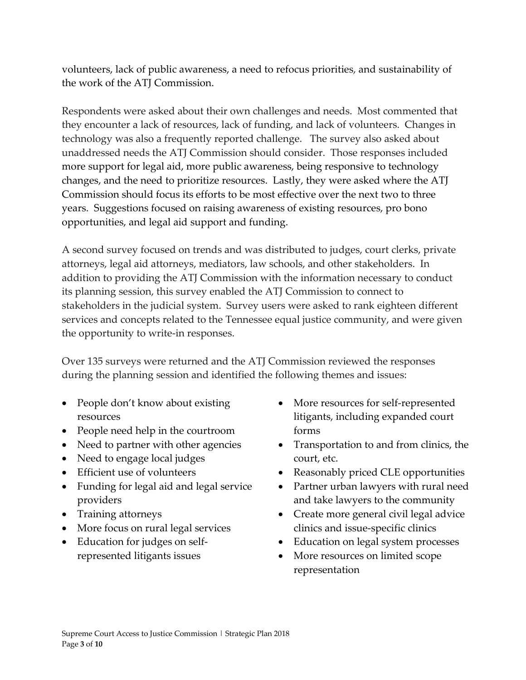volunteers, lack of public awareness, a need to refocus priorities, and sustainability of the work of the ATJ Commission.

Respondents were asked about their own challenges and needs. Most commented that they encounter a lack of resources, lack of funding, and lack of volunteers. Changes in technology was also a frequently reported challenge. The survey also asked about unaddressed needs the ATJ Commission should consider. Those responses included more support for legal aid, more public awareness, being responsive to technology changes, and the need to prioritize resources. Lastly, they were asked where the ATJ Commission should focus its efforts to be most effective over the next two to three years. Suggestions focused on raising awareness of existing resources, pro bono opportunities, and legal aid support and funding.

A second survey focused on trends and was distributed to judges, court clerks, private attorneys, legal aid attorneys, mediators, law schools, and other stakeholders. In addition to providing the ATJ Commission with the information necessary to conduct its planning session, this survey enabled the ATJ Commission to connect to stakeholders in the judicial system. Survey users were asked to rank eighteen different services and concepts related to the Tennessee equal justice community, and were given the opportunity to write-in responses.

Over 135 surveys were returned and the ATJ Commission reviewed the responses during the planning session and identified the following themes and issues:

- People don't know about existing resources
- People need help in the courtroom
- Need to partner with other agencies
- Need to engage local judges
- Efficient use of volunteers
- Funding for legal aid and legal service providers
- Training attorneys
- More focus on rural legal services
- Education for judges on selfrepresented litigants issues
- More resources for self-represented litigants, including expanded court forms
- Transportation to and from clinics, the court, etc.
- Reasonably priced CLE opportunities
- Partner urban lawyers with rural need and take lawyers to the community
- Create more general civil legal advice clinics and issue-specific clinics
- Education on legal system processes
- More resources on limited scope representation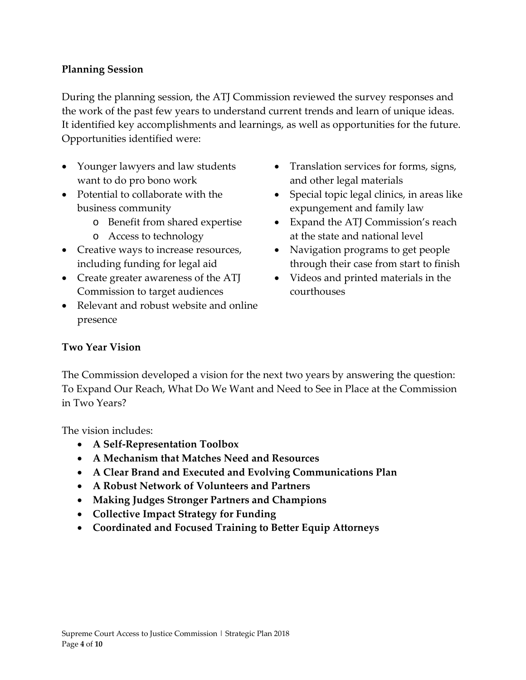## **Planning Session**

During the planning session, the ATJ Commission reviewed the survey responses and the work of the past few years to understand current trends and learn of unique ideas. It identified key accomplishments and learnings, as well as opportunities for the future. Opportunities identified were:

- Younger lawyers and law students want to do pro bono work
- Potential to collaborate with the business community
	- o Benefit from shared expertise
	- o Access to technology
- Creative ways to increase resources, including funding for legal aid
- Create greater awareness of the ATJ Commission to target audiences
- Relevant and robust website and online presence
- Translation services for forms, signs, and other legal materials
- Special topic legal clinics, in areas like expungement and family law
- Expand the ATJ Commission's reach at the state and national level
- Navigation programs to get people through their case from start to finish
- Videos and printed materials in the courthouses

### **Two Year Vision**

The Commission developed a vision for the next two years by answering the question: To Expand Our Reach, What Do We Want and Need to See in Place at the Commission in Two Years?

The vision includes:

- **A Self-Representation Toolbox**
- **A Mechanism that Matches Need and Resources**
- **A Clear Brand and Executed and Evolving Communications Plan**
- **A Robust Network of Volunteers and Partners**
- **Making Judges Stronger Partners and Champions**
- **Collective Impact Strategy for Funding**
- **Coordinated and Focused Training to Better Equip Attorneys**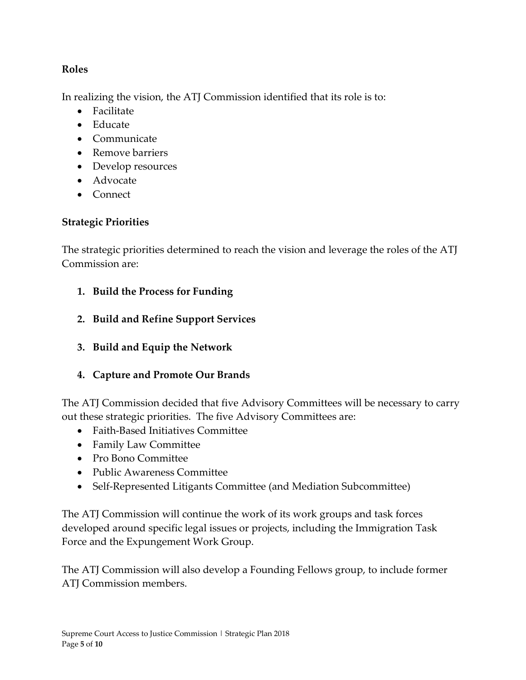## **Roles**

In realizing the vision, the ATJ Commission identified that its role is to:

- Facilitate
- Educate
- Communicate
- Remove barriers
- Develop resources
- Advocate
- Connect

# **Strategic Priorities**

The strategic priorities determined to reach the vision and leverage the roles of the ATJ Commission are:

- **1. Build the Process for Funding**
- **2. Build and Refine Support Services**
- **3. Build and Equip the Network**
- **4. Capture and Promote Our Brands**

The ATJ Commission decided that five Advisory Committees will be necessary to carry out these strategic priorities. The five Advisory Committees are:

- Faith-Based Initiatives Committee
- Family Law Committee
- Pro Bono Committee
- Public Awareness Committee
- Self-Represented Litigants Committee (and Mediation Subcommittee)

The ATJ Commission will continue the work of its work groups and task forces developed around specific legal issues or projects, including the Immigration Task Force and the Expungement Work Group.

The ATJ Commission will also develop a Founding Fellows group, to include former ATJ Commission members.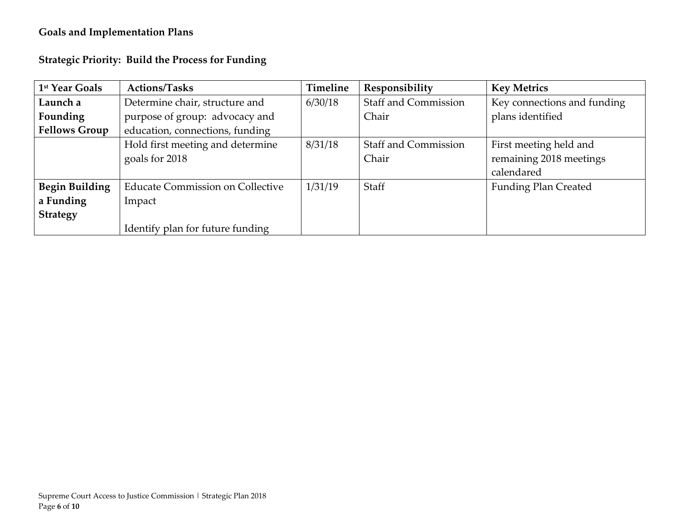# **Goals and Implementation Plans**

| <b>Strategic Priority: Build the Process for Funding</b> |  |
|----------------------------------------------------------|--|
|----------------------------------------------------------|--|

| 1 <sup>st</sup> Year Goals | <b>Actions/Tasks</b>                    | Timeline | Responsibility              | <b>Key Metrics</b>          |
|----------------------------|-----------------------------------------|----------|-----------------------------|-----------------------------|
| Launch a                   | Determine chair, structure and          | 6/30/18  | <b>Staff and Commission</b> | Key connections and funding |
| Founding                   | purpose of group: advocacy and          |          | Chair                       | plans identified            |
| <b>Fellows Group</b>       | education, connections, funding         |          |                             |                             |
|                            | Hold first meeting and determine        | 8/31/18  | <b>Staff and Commission</b> | First meeting held and      |
|                            | goals for 2018                          |          | Chair                       | remaining 2018 meetings     |
|                            |                                         |          |                             | calendared                  |
| <b>Begin Building</b>      | <b>Educate Commission on Collective</b> | 1/31/19  | Staff                       | <b>Funding Plan Created</b> |
| a Funding                  | Impact                                  |          |                             |                             |
| <b>Strategy</b>            |                                         |          |                             |                             |
|                            | Identify plan for future funding        |          |                             |                             |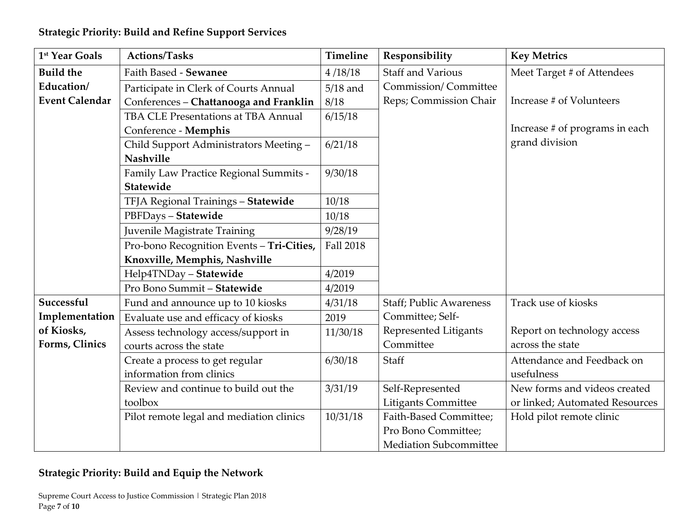| 1 <sup>st</sup> Year Goals | <b>Actions/Tasks</b>                      | <b>Timeline</b>  | Responsibility                 | <b>Key Metrics</b>             |
|----------------------------|-------------------------------------------|------------------|--------------------------------|--------------------------------|
| <b>Build the</b>           | Faith Based - Sewanee                     | 4/18/18          | <b>Staff and Various</b>       | Meet Target # of Attendees     |
| Education/                 | Participate in Clerk of Courts Annual     | $5/18$ and       | Commission/Committee           |                                |
| <b>Event Calendar</b>      | Conferences - Chattanooga and Franklin    | 8/18             | Reps; Commission Chair         | Increase # of Volunteers       |
|                            | TBA CLE Presentations at TBA Annual       | 6/15/18          |                                |                                |
|                            | Conference - Memphis                      |                  |                                | Increase # of programs in each |
|                            | Child Support Administrators Meeting -    | 6/21/18          |                                | grand division                 |
|                            | <b>Nashville</b>                          |                  |                                |                                |
|                            | Family Law Practice Regional Summits -    | 9/30/18          |                                |                                |
|                            | Statewide                                 |                  |                                |                                |
|                            | TFJA Regional Trainings - Statewide       | 10/18            |                                |                                |
|                            | PBFDays - Statewide                       | 10/18            |                                |                                |
|                            | Juvenile Magistrate Training              | 9/28/19          |                                |                                |
|                            | Pro-bono Recognition Events - Tri-Cities, | <b>Fall 2018</b> |                                |                                |
|                            | Knoxville, Memphis, Nashville             |                  |                                |                                |
|                            | Help4TNDay - Statewide                    | 4/2019           |                                |                                |
|                            | Pro Bono Summit - Statewide               | 4/2019           |                                |                                |
| Successful                 | Fund and announce up to 10 kiosks         | 4/31/18          | <b>Staff; Public Awareness</b> | Track use of kiosks            |
| Implementation             | Evaluate use and efficacy of kiosks       | 2019             | Committee; Self-               |                                |
| of Kiosks,                 | Assess technology access/support in       | 11/30/18         | Represented Litigants          | Report on technology access    |
| Forms, Clinics             | courts across the state                   |                  | Committee                      | across the state               |
|                            | Create a process to get regular           | 6/30/18          | Staff                          | Attendance and Feedback on     |
|                            | information from clinics                  |                  |                                | usefulness                     |
|                            | Review and continue to build out the      | 3/31/19          | Self-Represented               | New forms and videos created   |
|                            | toolbox                                   |                  | <b>Litigants Committee</b>     | or linked; Automated Resources |
|                            | Pilot remote legal and mediation clinics  | 10/31/18         | Faith-Based Committee;         | Hold pilot remote clinic       |
|                            |                                           |                  | Pro Bono Committee;            |                                |
|                            |                                           |                  | <b>Mediation Subcommittee</b>  |                                |

# **Strategic Priority: Build and Equip the Network**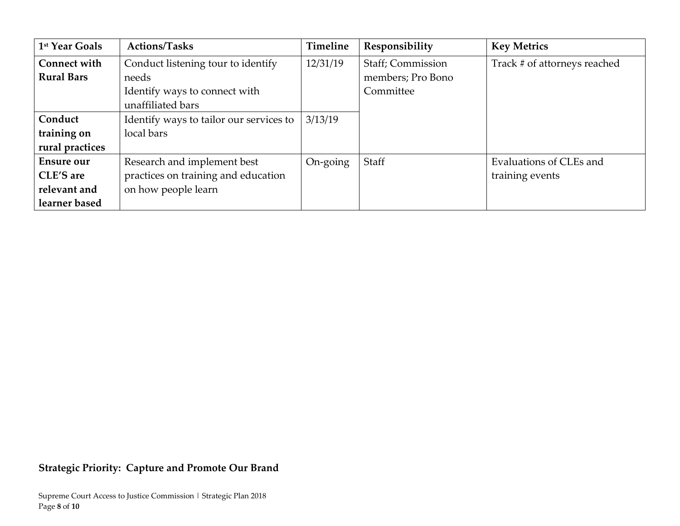| 1 <sup>st</sup> Year Goals | <b>Actions/Tasks</b>                    | Timeline | Responsibility    | <b>Key Metrics</b>           |
|----------------------------|-----------------------------------------|----------|-------------------|------------------------------|
| <b>Connect with</b>        | Conduct listening tour to identify      | 12/31/19 | Staff; Commission | Track # of attorneys reached |
| <b>Rural Bars</b>          | needs                                   |          | members; Pro Bono |                              |
|                            | Identify ways to connect with           |          | Committee         |                              |
|                            | unaffiliated bars                       |          |                   |                              |
| Conduct                    | Identify ways to tailor our services to | 3/13/19  |                   |                              |
| training on                | local bars                              |          |                   |                              |
| rural practices            |                                         |          |                   |                              |
| <b>Ensure our</b>          | Research and implement best             | On-going | Staff             | Evaluations of CLEs and      |
| CLE'S are                  | practices on training and education     |          |                   | training events              |
| relevant and               | on how people learn                     |          |                   |                              |
| learner based              |                                         |          |                   |                              |

# **Strategic Priority: Capture and Promote Our Brand**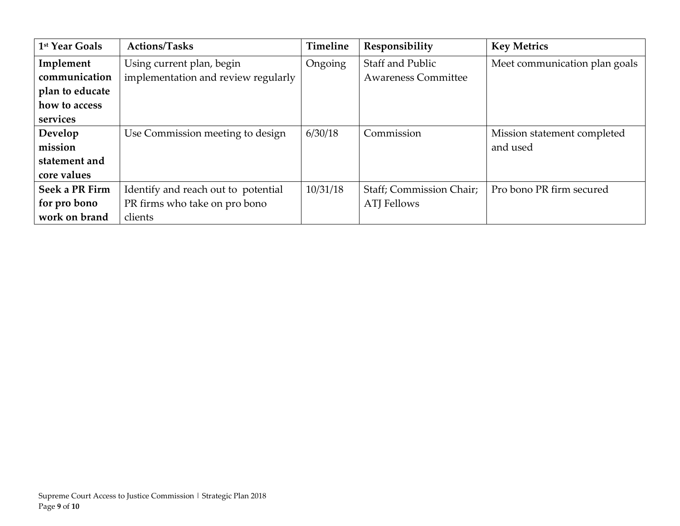| 1 <sup>st</sup> Year Goals | <b>Actions/Tasks</b>                | Timeline | Responsibility             | <b>Key Metrics</b>            |
|----------------------------|-------------------------------------|----------|----------------------------|-------------------------------|
| Implement                  | Using current plan, begin           | Ongoing  | <b>Staff and Public</b>    | Meet communication plan goals |
| communication              | implementation and review regularly |          | <b>Awareness Committee</b> |                               |
| plan to educate            |                                     |          |                            |                               |
| how to access              |                                     |          |                            |                               |
| services                   |                                     |          |                            |                               |
| Develop                    | Use Commission meeting to design    | 6/30/18  | Commission                 | Mission statement completed   |
| mission                    |                                     |          |                            | and used                      |
| statement and              |                                     |          |                            |                               |
| core values                |                                     |          |                            |                               |
| Seek a PR Firm             | Identify and reach out to potential | 10/31/18 | Staff; Commission Chair;   | Pro bono PR firm secured      |
| for pro bono               | PR firms who take on pro bono       |          | <b>ATJ</b> Fellows         |                               |
| work on brand              | clients                             |          |                            |                               |